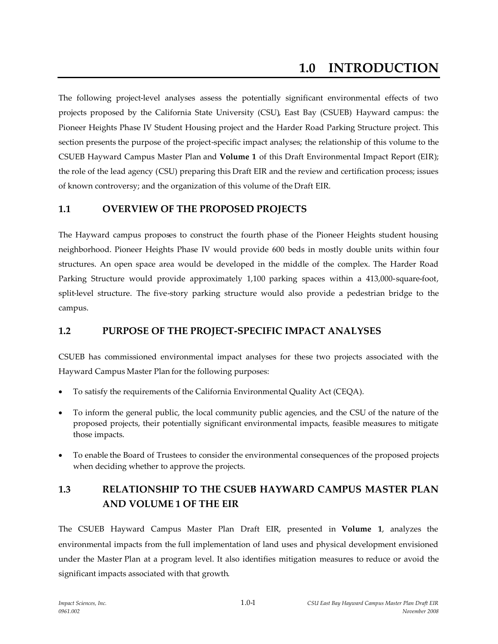# **1.0 INTRODUCTION**

The following project-level analyses assess the potentially significant environmental effects of two projects proposed by the California State University (CSU), East Bay (CSUEB) Hayward campus: the Pioneer Heights Phase IV Student Housing project and the Harder Road Parking Structure project. This section presents the purpose of the project-specific impact analyses; the relationship of this volume to the CSUEB Hayward Campus Master Plan and **Volume 1** of this Draft Environmental Impact Report (EIR); the role of the lead agency (CSU) preparing this Draft EIR and the review and certification process; issues of known controversy; and the organization of this volume of the Draft EIR.

### **1.1 OVERVIEW OF THE PROPOSED PROJECTS**

The Hayward campus proposes to construct the fourth phase of the Pioneer Heights student housing neighborhood. Pioneer Heights Phase IV would provide 600 beds in mostly double units within four structures. An open space area would be developed in the middle of the complex. The Harder Road Parking Structure would provide approximately 1,100 parking spaces within a 413,000-square-foot, split-level structure. The five-story parking structure would also provide a pedestrian bridge to the campus.

### **1.2 PURPOSE OF THE PROJECT-SPECIFIC IMPACT ANALYSES**

CSUEB has commissioned environmental impact analyses for these two projects associated with the Hayward Campus Master Plan for the following purposes:

- To satisfy the requirements of the California Environmental Quality Act (CEQA).
- To inform the general public, the local community public agencies, and the CSU of the nature of the proposed projects, their potentially significant environmental impacts, feasible measures to mitigate those impacts.
- To enable the Board of Trustees to consider the environmental consequences of the proposed projects when deciding whether to approve the projects.

# **1.3 RELATIONSHIP TO THE CSUEB HAYWARD CAMPUS MASTER PLAN AND VOLUME 1 OF THE EIR**

The CSUEB Hayward Campus Master Plan Draft EIR, presented in **Volume 1**, analyzes the environmental impacts from the full implementation of land uses and physical development envisioned under the Master Plan at a program level. It also identifies mitigation measures to reduce or avoid the significant impacts associated with that growth.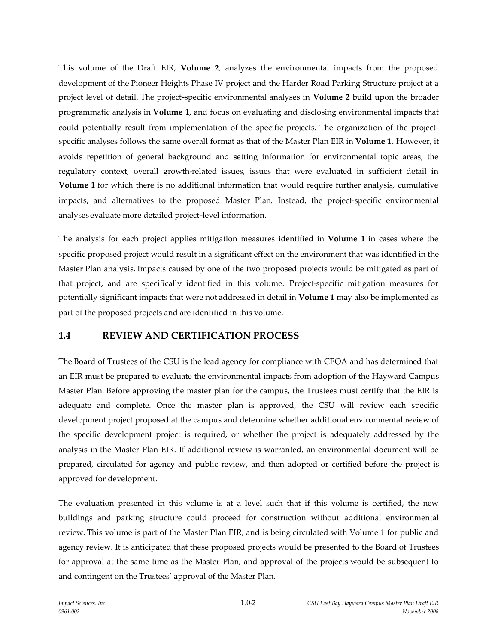This volume of the Draft EIR, **Volume 2**, analyzes the environmental impacts from the proposed development of the Pioneer Heights Phase IV project and the Harder Road Parking Structure project at a project level of detail. The project-specific environmental analyses in **Volume 2** build upon the broader programmatic analysis in **Volume 1**, and focus on evaluating and disclosing environmental impacts that could potentially result from implementation of the specific projects. The organization of the projectspecific analyses follows the same overall format as that of the Master Plan EIR in **Volume 1**. However, it avoids repetition of general background and setting information for environmental topic areas, the regulatory context, overall growth-related issues, issues that were evaluated in sufficient detail in **Volume 1** for which there is no additional information that would require further analysis, cumulative impacts, and alternatives to the proposed Master Plan. Instead, the project-specific environmental analyses evaluate more detailed project-level information.

The analysis for each project applies mitigation measures identified in **Volume 1** in cases where the specific proposed project would result in a significant effect on the environment that was identified in the Master Plan analysis. Impacts caused by one of the two proposed projects would be mitigated as part of that project, and are specifically identified in this volume. Project-specific mitigation measures for potentially significant impacts that were not addressed in detail in **Volume 1** may also be implemented as part of the proposed projects and are identified in this volume.

### **1.4 REVIEW AND CERTIFICATION PROCESS**

The Board of Trustees of the CSU is the lead agency for compliance with CEQA and has determined that an EIR must be prepared to evaluate the environmental impacts from adoption of the Hayward Campus Master Plan. Before approving the master plan for the campus, the Trustees must certify that the EIR is adequate and complete. Once the master plan is approved, the CSU will review each specific development project proposed at the campus and determine whether additional environmental review of the specific development project is required, or whether the project is adequately addressed by the analysis in the Master Plan EIR. If additional review is warranted, an environmental document will be prepared, circulated for agency and public review, and then adopted or certified before the project is approved for development.

The evaluation presented in this volume is at a level such that if this volume is certified, the new buildings and parking structure could proceed for construction without additional environmental review. This volume is part of the Master Plan EIR, and is being circulated with Volume 1 for public and agency review. It is anticipated that these proposed projects would be presented to the Board of Trustees for approval at the same time as the Master Plan, and approval of the projects would be subsequent to and contingent on the Trustees' approval of the Master Plan.